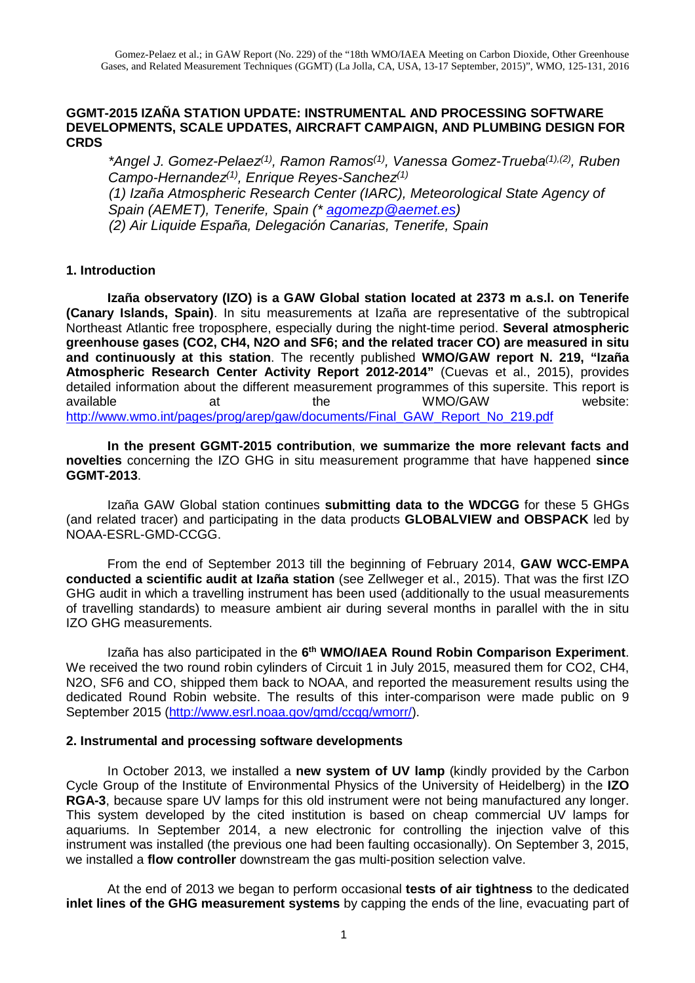### **GGMT-2015 IZAÑA STATION UPDATE: INSTRUMENTAL AND PROCESSING SOFTWARE DEVELOPMENTS, SCALE UPDATES, AIRCRAFT CAMPAIGN, AND PLUMBING DESIGN FOR CRDS**

\*Angel J. Gomez-Pelaez<sup>(1)</sup>, Ramon Ramos<sup>(1)</sup>, Vanessa Gomez-Trueba<sup>(1),(2)</sup>, Ruben Campo-Hernandez<sup>(1)</sup>, Enrique Reyes-Sanchez<sup>(1)</sup> (1) Izaña Atmospheric Research Center (IARC), Meteorological State Agency of Spain (AEMET), Tenerife, Spain (\* agomezp@aemet.es) (2) Air Liquide España, Delegación Canarias, Tenerife, Spain

### **1. Introduction**

**Izaña observatory (IZO) is a GAW Global station located at 2373 m a.s.l. on Tenerife (Canary Islands, Spain)**. In situ measurements at Izaña are representative of the subtropical Northeast Atlantic free troposphere, especially during the night-time period. **Several atmospheric greenhouse gases (CO2, CH4, N2O and SF6; and the related tracer CO) are measured in situ and continuously at this station**. The recently published **WMO/GAW report N. 219, "Izaña Atmospheric Research Center Activity Report 2012-2014"** (Cuevas et al., 2015), provides detailed information about the different measurement programmes of this supersite. This report is available at at the WMO/GAW website: http://www.wmo.int/pages/prog/arep/gaw/documents/Final\_GAW\_Report\_No\_219.pdf

**In the present GGMT-2015 contribution**, **we summarize the more relevant facts and novelties** concerning the IZO GHG in situ measurement programme that have happened **since GGMT-2013**.

Izaña GAW Global station continues **submitting data to the WDCGG** for these 5 GHGs (and related tracer) and participating in the data products **GLOBALVIEW and OBSPACK** led by NOAA-ESRL-GMD-CCGG.

From the end of September 2013 till the beginning of February 2014, **GAW WCC-EMPA conducted a scientific audit at Izaña station** (see Zellweger et al., 2015). That was the first IZO GHG audit in which a travelling instrument has been used (additionally to the usual measurements of travelling standards) to measure ambient air during several months in parallel with the in situ IZO GHG measurements.

Izaña has also participated in the 6<sup>th</sup> WMO/IAEA Round Robin Comparison Experiment. We received the two round robin cylinders of Circuit 1 in July 2015, measured them for CO2, CH4, N2O, SF6 and CO, shipped them back to NOAA, and reported the measurement results using the dedicated Round Robin website. The results of this inter-comparison were made public on 9 September 2015 (http://www.esrl.noaa.gov/gmd/ccgg/wmorr/).

### **2. Instrumental and processing software developments**

In October 2013, we installed a **new system of UV lamp** (kindly provided by the Carbon Cycle Group of the Institute of Environmental Physics of the University of Heidelberg) in the **IZO RGA-3**, because spare UV lamps for this old instrument were not being manufactured any longer. This system developed by the cited institution is based on cheap commercial UV lamps for aquariums. In September 2014, a new electronic for controlling the injection valve of this instrument was installed (the previous one had been faulting occasionally). On September 3, 2015, we installed a **flow controller** downstream the gas multi-position selection valve.

At the end of 2013 we began to perform occasional **tests of air tightness** to the dedicated **inlet lines of the GHG measurement systems** by capping the ends of the line, evacuating part of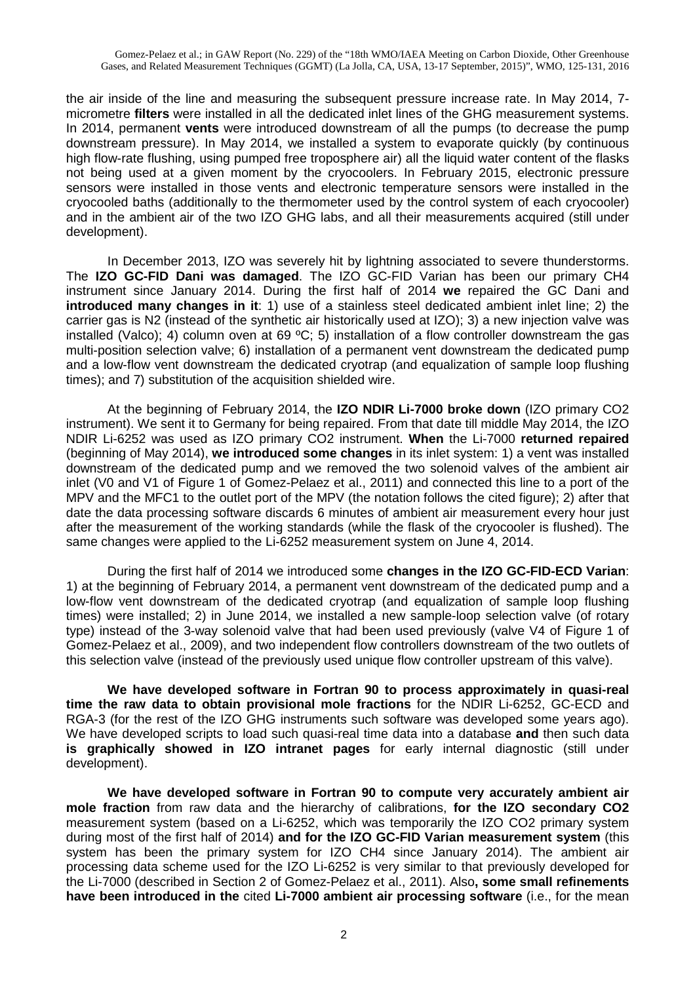the air inside of the line and measuring the subsequent pressure increase rate. In May 2014, 7 micrometre **filters** were installed in all the dedicated inlet lines of the GHG measurement systems. In 2014, permanent **vents** were introduced downstream of all the pumps (to decrease the pump downstream pressure). In May 2014, we installed a system to evaporate quickly (by continuous high flow-rate flushing, using pumped free troposphere air) all the liquid water content of the flasks not being used at a given moment by the cryocoolers. In February 2015, electronic pressure sensors were installed in those vents and electronic temperature sensors were installed in the cryocooled baths (additionally to the thermometer used by the control system of each cryocooler) and in the ambient air of the two IZO GHG labs, and all their measurements acquired (still under development).

In December 2013, IZO was severely hit by lightning associated to severe thunderstorms. The **IZO GC-FID Dani was damaged**. The IZO GC-FID Varian has been our primary CH4 instrument since January 2014. During the first half of 2014 **we** repaired the GC Dani and **introduced many changes in it**: 1) use of a stainless steel dedicated ambient inlet line; 2) the carrier gas is N2 (instead of the synthetic air historically used at IZO); 3) a new injection valve was installed (Valco); 4) column oven at 69 ºC; 5) installation of a flow controller downstream the gas multi-position selection valve; 6) installation of a permanent vent downstream the dedicated pump and a low-flow vent downstream the dedicated cryotrap (and equalization of sample loop flushing times); and 7) substitution of the acquisition shielded wire.

At the beginning of February 2014, the **IZO NDIR Li-7000 broke down** (IZO primary CO2 instrument). We sent it to Germany for being repaired. From that date till middle May 2014, the IZO NDIR Li-6252 was used as IZO primary CO2 instrument. **When** the Li-7000 **returned repaired** (beginning of May 2014), **we introduced some changes** in its inlet system: 1) a vent was installed downstream of the dedicated pump and we removed the two solenoid valves of the ambient air inlet (V0 and V1 of Figure 1 of Gomez-Pelaez et al., 2011) and connected this line to a port of the MPV and the MFC1 to the outlet port of the MPV (the notation follows the cited figure); 2) after that date the data processing software discards 6 minutes of ambient air measurement every hour just after the measurement of the working standards (while the flask of the cryocooler is flushed). The same changes were applied to the Li-6252 measurement system on June 4, 2014.

During the first half of 2014 we introduced some **changes in the IZO GC-FID-ECD Varian**: 1) at the beginning of February 2014, a permanent vent downstream of the dedicated pump and a low-flow vent downstream of the dedicated cryotrap (and equalization of sample loop flushing times) were installed; 2) in June 2014, we installed a new sample-loop selection valve (of rotary type) instead of the 3-way solenoid valve that had been used previously (valve V4 of Figure 1 of Gomez-Pelaez et al., 2009), and two independent flow controllers downstream of the two outlets of this selection valve (instead of the previously used unique flow controller upstream of this valve).

**We have developed software in Fortran 90 to process approximately in quasi-real time the raw data to obtain provisional mole fractions** for the NDIR Li-6252, GC-ECD and RGA-3 (for the rest of the IZO GHG instruments such software was developed some years ago). We have developed scripts to load such quasi-real time data into a database **and** then such data **is graphically showed in IZO intranet pages** for early internal diagnostic (still under development).

**We have developed software in Fortran 90 to compute very accurately ambient air mole fraction** from raw data and the hierarchy of calibrations, **for the IZO secondary CO2** measurement system (based on a Li-6252, which was temporarily the IZO CO2 primary system during most of the first half of 2014) **and for the IZO GC-FID Varian measurement system** (this system has been the primary system for IZO CH4 since January 2014). The ambient air processing data scheme used for the IZO Li-6252 is very similar to that previously developed for the Li-7000 (described in Section 2 of Gomez-Pelaez et al., 2011). Also**, some small refinements have been introduced in the** cited **Li-7000 ambient air processing software** (i.e., for the mean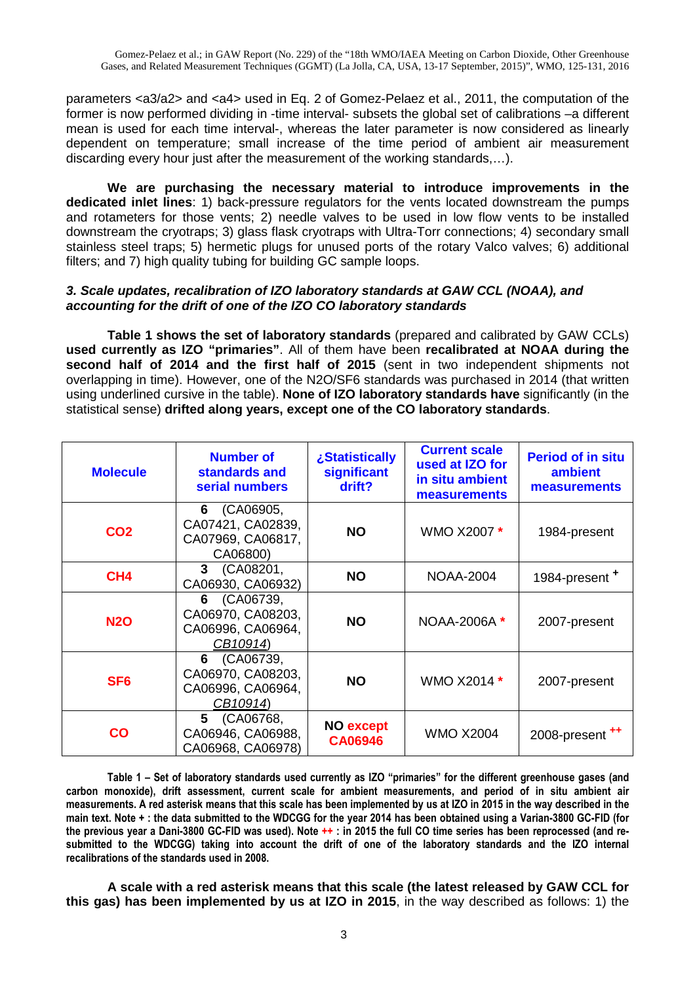parameters <a3/a2> and <a4> used in Eq. 2 of Gomez-Pelaez et al., 2011, the computation of the former is now performed dividing in -time interval- subsets the global set of calibrations –a different mean is used for each time interval-, whereas the later parameter is now considered as linearly dependent on temperature; small increase of the time period of ambient air measurement discarding every hour just after the measurement of the working standards,…).

**We are purchasing the necessary material to introduce improvements in the dedicated inlet lines**: 1) back-pressure regulators for the vents located downstream the pumps and rotameters for those vents; 2) needle valves to be used in low flow vents to be installed downstream the cryotraps; 3) glass flask cryotraps with Ultra-Torr connections; 4) secondary small stainless steel traps; 5) hermetic plugs for unused ports of the rotary Valco valves; 6) additional filters; and 7) high quality tubing for building GC sample loops.

## **3. Scale updates, recalibration of IZO laboratory standards at GAW CCL (NOAA), and accounting for the drift of one of the IZO CO laboratory standards**

**Table 1 shows the set of laboratory standards** (prepared and calibrated by GAW CCLs) **used currently as IZO "primaries"**. All of them have been **recalibrated at NOAA during the second half of 2014 and the first half of 2015** (sent in two independent shipments not overlapping in time). However, one of the N2O/SF6 standards was purchased in 2014 (that written using underlined cursive in the table). **None of IZO laboratory standards have** significantly (in the statistical sense) **drifted along years, except one of the CO laboratory standards**.

| <b>Molecule</b> | <b>Number of</b><br>standards and<br>serial numbers                  | ¿Statistically<br>significant<br>drift? | <b>Current scale</b><br>used at IZO for<br>in situ ambient<br>measurements | <b>Period of in situ</b><br>ambient<br>measurements |
|-----------------|----------------------------------------------------------------------|-----------------------------------------|----------------------------------------------------------------------------|-----------------------------------------------------|
| CO <sub>2</sub> | (CA06905,<br>6<br>CA07421, CA02839,<br>CA07969, CA06817,<br>CA06800) | <b>NO</b>                               | WMO X2007 *                                                                | 1984-present                                        |
| CH <sub>4</sub> | 3 (CA08201,<br>CA06930, CA06932)                                     | <b>NO</b>                               | <b>NOAA-2004</b>                                                           | 1984-present <sup>+</sup>                           |
| <b>N2O</b>      | 6 (CA06739,<br>CA06970, CA08203,<br>CA06996, CA06964,<br>CB10914)    | <b>NO</b>                               | NOAA-2006A*                                                                | 2007-present                                        |
| SF <sub>6</sub> | (CA06739,<br>6<br>CA06970, CA08203,<br>CA06996, CA06964,<br>CB10914) | <b>NO</b>                               | WMO X2014 *                                                                | 2007-present                                        |
| $\mathbf{co}$   | (CA06768,<br>5<br>CA06946, CA06988,<br>CA06968, CA06978)             | <b>NO except</b><br><b>CA06946</b>      | <b>WMO X2004</b>                                                           | 2008-present <sup>++</sup>                          |

**Table 1 – Set of laboratory standards used currently as IZO "primaries" for the different greenhouse gases (and carbon monoxide), drift assessment, current scale for ambient measurements, and period of in situ ambient air measurements. A red asterisk means that this scale has been implemented by us at IZO in 2015 in the way described in the main text. Note + : the data submitted to the WDCGG for the year 2014 has been obtained using a Varian-3800 GC-FID (for the previous year a Dani-3800 GC-FID was used). Note ++ : in 2015 the full CO time series has been reprocessed (and resubmitted to the WDCGG) taking into account the drift of one of the laboratory standards and the IZO internal recalibrations of the standards used in 2008.** 

**A scale with a red asterisk means that this scale (the latest released by GAW CCL for this gas) has been implemented by us at IZO in 2015**, in the way described as follows: 1) the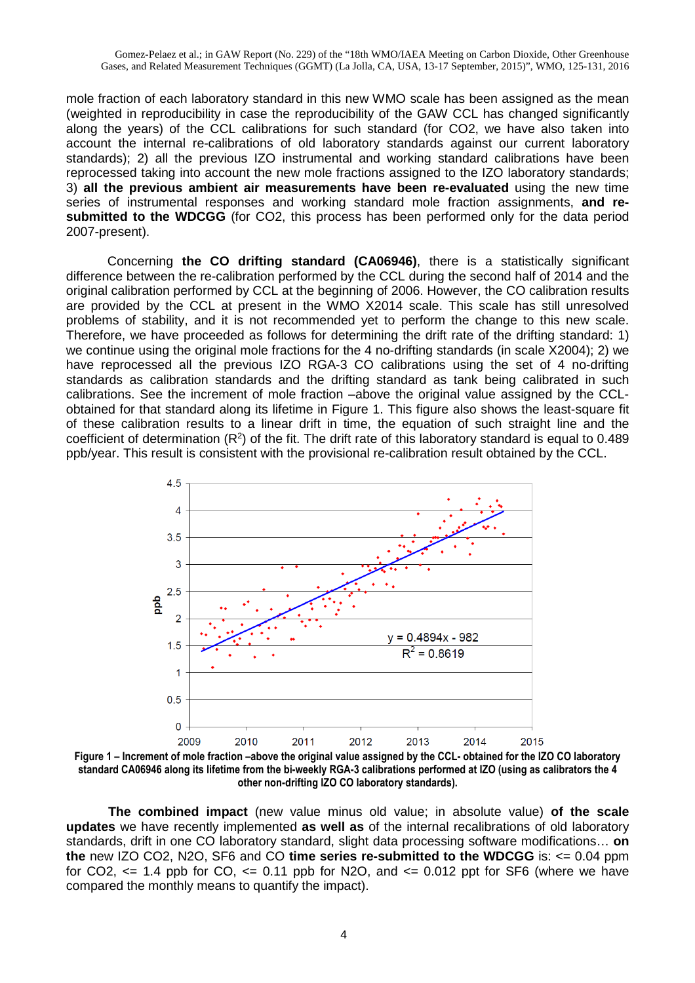mole fraction of each laboratory standard in this new WMO scale has been assigned as the mean (weighted in reproducibility in case the reproducibility of the GAW CCL has changed significantly along the years) of the CCL calibrations for such standard (for CO2, we have also taken into account the internal re-calibrations of old laboratory standards against our current laboratory standards); 2) all the previous IZO instrumental and working standard calibrations have been reprocessed taking into account the new mole fractions assigned to the IZO laboratory standards; 3) **all the previous ambient air measurements have been re-evaluated** using the new time series of instrumental responses and working standard mole fraction assignments, **and resubmitted to the WDCGG** (for CO2, this process has been performed only for the data period 2007-present).

Concerning **the CO drifting standard (CA06946)**, there is a statistically significant difference between the re-calibration performed by the CCL during the second half of 2014 and the original calibration performed by CCL at the beginning of 2006. However, the CO calibration results are provided by the CCL at present in the WMO X2014 scale. This scale has still unresolved problems of stability, and it is not recommended yet to perform the change to this new scale. Therefore, we have proceeded as follows for determining the drift rate of the drifting standard: 1) we continue using the original mole fractions for the 4 no-drifting standards (in scale X2004); 2) we have reprocessed all the previous IZO RGA-3 CO calibrations using the set of 4 no-drifting standards as calibration standards and the drifting standard as tank being calibrated in such calibrations. See the increment of mole fraction –above the original value assigned by the CCLobtained for that standard along its lifetime in Figure 1. This figure also shows the least-square fit of these calibration results to a linear drift in time, the equation of such straight line and the coefficient of determination  $(R^2)$  of the fit. The drift rate of this laboratory standard is equal to 0.489 ppb/year. This result is consistent with the provisional re-calibration result obtained by the CCL.



**Figure 1 – Increment of mole fraction –above the original value assigned by the CCL- obtained for the IZO CO laboratory standard CA06946 along its lifetime from the bi-weekly RGA-3 calibrations performed at IZO (using as calibrators the 4 other non-drifting IZO CO laboratory standards).** 

**The combined impact** (new value minus old value; in absolute value) **of the scale updates** we have recently implemented **as well as** of the internal recalibrations of old laboratory standards, drift in one CO laboratory standard, slight data processing software modifications… **on the** new IZO CO2, N2O, SF6 and CO **time series re-submitted to the WDCGG** is: <= 0.04 ppm for CO2,  $\leq$  1.4 ppb for CO,  $\leq$  0.11 ppb for N2O, and  $\leq$  0.012 ppt for SF6 (where we have compared the monthly means to quantify the impact).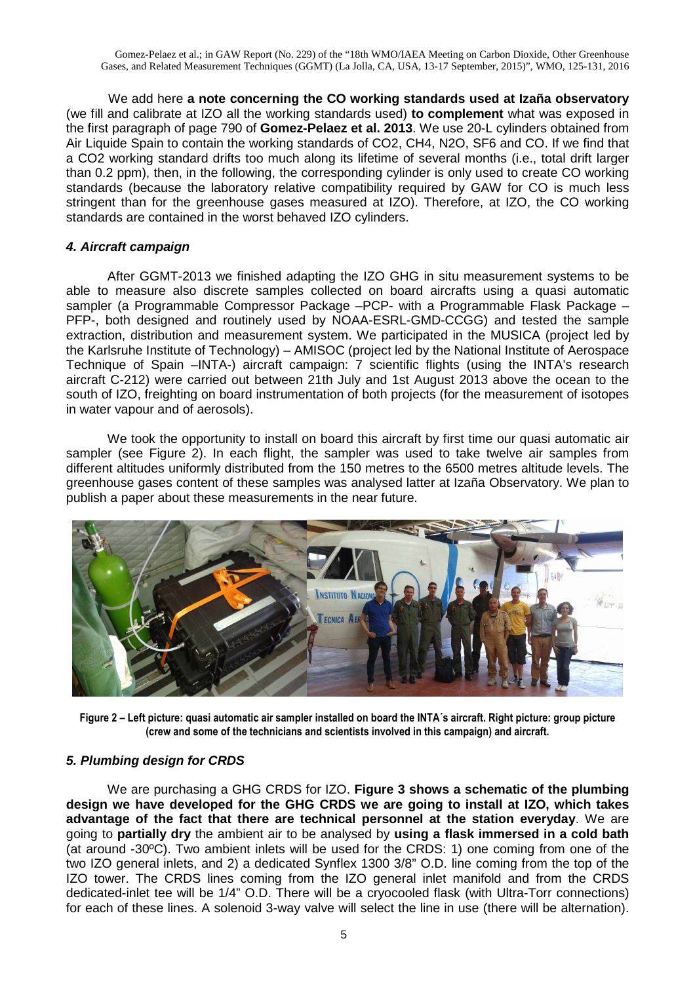We add here **a note concerning the CO working standards used at Izaña observatory** (we fill and calibrate at IZO all the working standards used) **to complement** what was exposed in the first paragraph of page 790 of **Gomez-Pelaez et al. 2013**. We use 20-L cylinders obtained from Air Liquide Spain to contain the working standards of CO2, CH4, N2O, SF6 and CO. If we find that a CO2 working standard drifts too much along its lifetime of several months (i.e., total drift larger than 0.2 ppm), then, in the following, the corresponding cylinder is only used to create CO working standards (because the laboratory relative compatibility required by GAW for CO is much less stringent than for the greenhouse gases measured at IZO). Therefore, at IZO, the CO working standards are contained in the worst behaved IZO cylinders.

## **4. Aircraft campaign**

After GGMT-2013 we finished adapting the IZO GHG in situ measurement systems to be able to measure also discrete samples collected on board aircrafts using a quasi automatic sampler (a Programmable Compressor Package –PCP- with a Programmable Flask Package – PFP-, both designed and routinely used by NOAA-ESRL-GMD-CCGG) and tested the sample extraction, distribution and measurement system. We participated in the MUSICA (project led by the Karlsruhe Institute of Technology) – AMISOC (project led by the National Institute of Aerospace Technique of Spain –INTA-) aircraft campaign: 7 scientific flights (using the INTA's research aircraft C-212) were carried out between 21th July and 1st August 2013 above the ocean to the south of IZO, freighting on board instrumentation of both projects (for the measurement of isotopes in water vapour and of aerosols).

We took the opportunity to install on board this aircraft by first time our quasi automatic air sampler (see Figure 2). In each flight, the sampler was used to take twelve air samples from different altitudes uniformly distributed from the 150 metres to the 6500 metres altitude levels. The greenhouse gases content of these samples was analysed latter at Izaña Observatory. We plan to publish a paper about these measurements in the near future.



**Figure 2 – Left picture: quasi automatic air sampler installed on board the INTA´s aircraft. Right picture: group picture (crew and some of the technicians and scientists involved in this campaign) and aircraft.**

# **5. Plumbing design for CRDS**

We are purchasing a GHG CRDS for IZO. **Figure 3 shows a schematic of the plumbing design we have developed for the GHG CRDS we are going to install at IZO, which takes advantage of the fact that there are technical personnel at the station everyday**. We are going to **partially dry** the ambient air to be analysed by **using a flask immersed in a cold bath** (at around -30ºC). Two ambient inlets will be used for the CRDS: 1) one coming from one of the two IZO general inlets, and 2) a dedicated Synflex 1300 3/8" O.D. line coming from the top of the IZO tower. The CRDS lines coming from the IZO general inlet manifold and from the CRDS dedicated-inlet tee will be 1/4" O.D. There will be a cryocooled flask (with Ultra-Torr connections) for each of these lines. A solenoid 3-way valve will select the line in use (there will be alternation).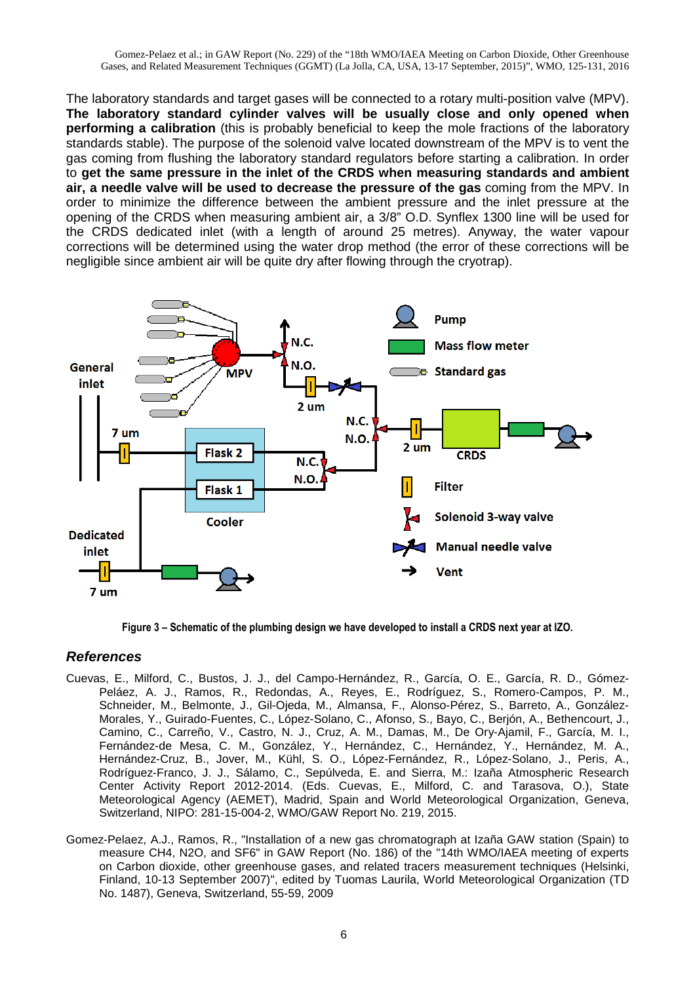The laboratory standards and target gases will be connected to a rotary multi-position valve (MPV). **The laboratory standard cylinder valves will be usually close and only opened when performing a calibration** (this is probably beneficial to keep the mole fractions of the laboratory standards stable). The purpose of the solenoid valve located downstream of the MPV is to vent the gas coming from flushing the laboratory standard regulators before starting a calibration. In order to **get the same pressure in the inlet of the CRDS when measuring standards and ambient air, a needle valve will be used to decrease the pressure of the gas** coming from the MPV. In order to minimize the difference between the ambient pressure and the inlet pressure at the opening of the CRDS when measuring ambient air, a 3/8" O.D. Synflex 1300 line will be used for the CRDS dedicated inlet (with a length of around 25 metres). Anyway, the water vapour corrections will be determined using the water drop method (the error of these corrections will be negligible since ambient air will be quite dry after flowing through the cryotrap).



**Figure 3 – Schematic of the plumbing design we have developed to install a CRDS next year at IZO.**

### **References**

- Cuevas, E., Milford, C., Bustos, J. J., del Campo-Hernández, R., García, O. E., García, R. D., Gómez-Peláez, A. J., Ramos, R., Redondas, A., Reyes, E., Rodríguez, S., Romero-Campos, P. M., Schneider, M., Belmonte, J., Gil-Ojeda, M., Almansa, F., Alonso-Pérez, S., Barreto, A., González-Morales, Y., Guirado-Fuentes, C., López-Solano, C., Afonso, S., Bayo, C., Berjón, A., Bethencourt, J., Camino, C., Carreño, V., Castro, N. J., Cruz, A. M., Damas, M., De Ory-Ajamil, F., García, M. I., Fernández-de Mesa, C. M., González, Y., Hernández, C., Hernández, Y., Hernández, M. A., Hernández-Cruz, B., Jover, M., Kühl, S. O., López-Fernández, R., López-Solano, J., Peris, A., Rodríguez-Franco, J. J., Sálamo, C., Sepúlveda, E. and Sierra, M.: Izaña Atmospheric Research Center Activity Report 2012-2014. (Eds. Cuevas, E., Milford, C. and Tarasova, O.), State Meteorological Agency (AEMET), Madrid, Spain and World Meteorological Organization, Geneva, Switzerland, NIPO: 281-15-004-2, WMO/GAW Report No. 219, 2015.
- Gomez-Pelaez, A.J., Ramos, R., "Installation of a new gas chromatograph at Izaña GAW station (Spain) to measure CH4, N2O, and SF6" in GAW Report (No. 186) of the "14th WMO/IAEA meeting of experts on Carbon dioxide, other greenhouse gases, and related tracers measurement techniques (Helsinki, Finland, 10-13 September 2007)", edited by Tuomas Laurila, World Meteorological Organization (TD No. 1487), Geneva, Switzerland, 55-59, 2009